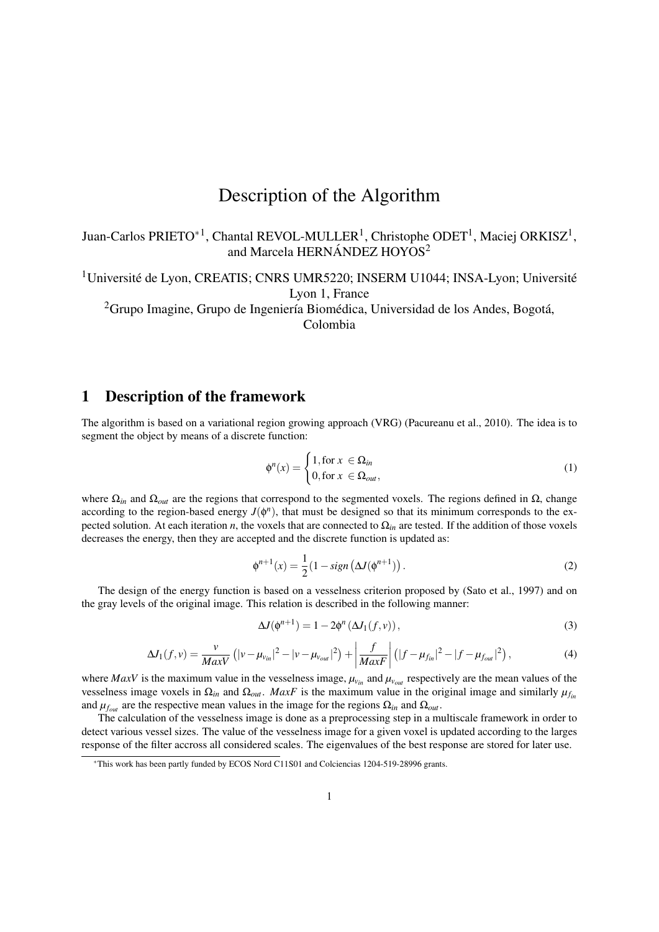## Description of the Algorithm

Juan-Carlos PRIETO<sup>\*1</sup>, Chantal REVOL-MULLER<sup>1</sup>, Christophe ODET<sup>1</sup>, Maciej ORKISZ<sup>1</sup>, and Marcela HERNÁNDEZ HOYOS<sup>2</sup>

 $1$ Université de Lyon, CREATIS; CNRS UMR5220; INSERM U1044; INSA-Lyon; Université Lyon 1, France

 $2G$ rupo Imagine, Grupo de Ingeniería Biomédica, Universidad de los Andes, Bogotá, Colombia

## 1 Description of the framework

The algorithm is based on a variational region growing approach (VRG) (Pacureanu et al., 2010). The idea is to segment the object by means of a discrete function:

$$
\phi^{n}(x) = \begin{cases} 1, \text{for } x \in \Omega_{in} \\ 0, \text{for } x \in \Omega_{out}, \end{cases}
$$
 (1)

where  $\Omega_{in}$  and  $\Omega_{out}$  are the regions that correspond to the segmented voxels. The regions defined in  $\Omega$ , change according to the region-based energy  $J(\phi^n)$ , that must be designed so that its minimum corresponds to the expected solution. At each iteration *n*, the voxels that are connected to  $\Omega_{in}$  are tested. If the addition of those voxels decreases the energy, then they are accepted and the discrete function is updated as:

$$
\phi^{n+1}(x) = \frac{1}{2} \left( 1 - sign\left(\Delta J(\phi^{n+1})\right) \right). \tag{2}
$$

The design of the energy function is based on a vesselness criterion proposed by (Sato et al., 1997) and on the gray levels of the original image. This relation is described in the following manner:

$$
\Delta J(\phi^{n+1}) = 1 - 2\phi^n \left(\Delta J_1(f, v)\right),\tag{3}
$$

$$
\Delta J_1(f, v) = \frac{v}{MaxV} \left( |v - \mu_{v_{in}}|^2 - |v - \mu_{v_{out}}|^2 \right) + \left| \frac{f}{MaxF} \right| \left( |f - \mu_{f_{in}}|^2 - |f - \mu_{f_{out}}|^2 \right), \tag{4}
$$

where *MaxV* is the maximum value in the vesselness image,  $\mu_{v_{in}}$  and  $\mu_{v_{out}}$  respectively are the mean values of the vesselness image voxels in  $\Omega_{in}$  and  $\Omega_{out}$ . *MaxF* is the maximum value in the original image and similarly  $\mu_{fin}$ and  $\mu_{f_{out}}$  are the respective mean values in the image for the regions  $\Omega_{in}$  and  $\Omega_{out}$ .

The calculation of the vesselness image is done as a preprocessing step in a multiscale framework in order to detect various vessel sizes. The value of the vesselness image for a given voxel is updated according to the larges response of the filter accross all considered scales. The eigenvalues of the best response are stored for later use.

<sup>∗</sup>This work has been partly funded by ECOS Nord C11S01 and Colciencias 1204-519-28996 grants.